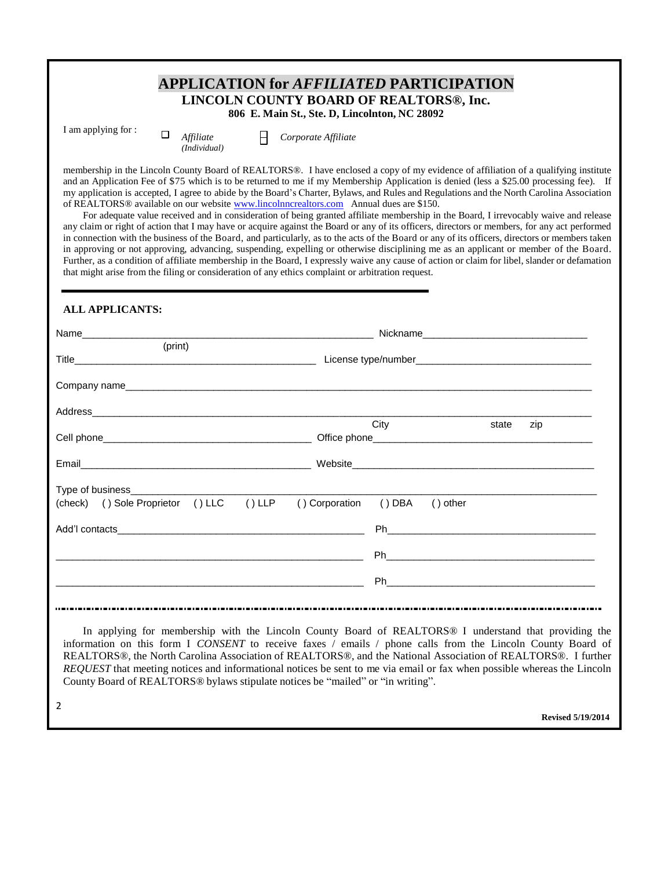## **APPLICATION for** *AFFILIATED* **PARTICIPATION LINCOLN COUNTY BOARD OF REALTORS®, Inc. 806 E. Main St., Ste. D, Lincolnton, NC 28092**

I am applying for :

 $\Box$ *(Individual)*

*Affiliate Corporate Affiliate* 

membership in the Lincoln County Board of REALTORS®. I have enclosed a copy of my evidence of affiliation of a qualifying institute and an Application Fee of \$75 which is to be returned to me if my Membership Application is denied (less a \$25.00 processing fee). If my application is accepted, I agree to abide by the Board's Charter, Bylaws, and Rules and Regulations and the North Carolina Association of REALTORS<sup>®</sup> available on our website [www.lincolnncrealtors.com](http://www.lincolnncrealtors.com/) Annual dues are \$150.

For adequate value received and in consideration of being granted affiliate membership in the Board, I irrevocably waive and release any claim or right of action that I may have or acquire against the Board or any of its officers, directors or members, for any act performed in connection with the business of the Board, and particularly, as to the acts of the Board or any of its officers, directors or members taken in approving or not approving, advancing, suspending, expelling or otherwise disciplining me as an applicant or member of the Board. Further, as a condition of affiliate membership in the Board, I expressly waive any cause of action or claim for libel, slander or defamation that might arise from the filing or consideration of any ethics complaint or arbitration request.

## **ALL APPLICANTS:**

| (print)                                                        |                                                                                                                                                                                                                                |  |
|----------------------------------------------------------------|--------------------------------------------------------------------------------------------------------------------------------------------------------------------------------------------------------------------------------|--|
|                                                                |                                                                                                                                                                                                                                |  |
|                                                                |                                                                                                                                                                                                                                |  |
|                                                                | City<br>state<br>zip                                                                                                                                                                                                           |  |
|                                                                |                                                                                                                                                                                                                                |  |
| (check) () Sole Proprietor () LLC () LLP () Corporation () DBA | () other                                                                                                                                                                                                                       |  |
|                                                                |                                                                                                                                                                                                                                |  |
|                                                                |                                                                                                                                                                                                                                |  |
|                                                                | Ph and the contract of the contract of the contract of the contract of the contract of the contract of the contract of the contract of the contract of the contract of the contract of the contract of the contract of the con |  |

In applying for membership with the Lincoln County Board of REALTORS® I understand that providing the information on this form I *CONSENT* to receive faxes / emails / phone calls from the Lincoln County Board of REALTORS®, the North Carolina Association of REALTORS®, and the National Association of REALTORS®. I further *REQUEST* that meeting notices and informational notices be sent to me via email or fax when possible whereas the Lincoln County Board of REALTORS® bylaws stipulate notices be "mailed" or "in writing".

2

**Revised 5/19/2014**